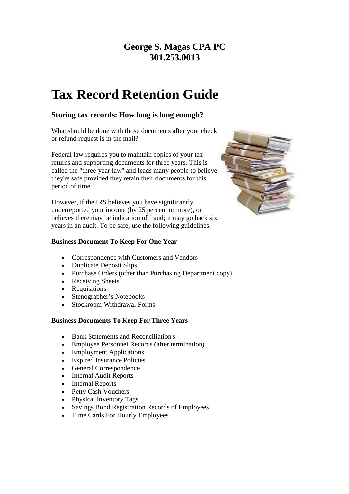# **Tax Record Retention Guide**

### **Storing tax records: How long is long enough?**

What should be done with those documents after your check or refund request is in the mail?

Federal law requires you to maintain copies of your tax returns and supporting documents for three years. This is called the "three-year law" and leads many people to believe they're safe provided they retain their documents for this period of time.

However, if the IRS believes you have significantly underreported your income (by 25 percent or more), or believes there may be indication of fraud; it may go back six years in an audit. To be safe, use the following guidelines.

### **Business Document To Keep For One Year**

- Correspondence with Customers and Vendors
- Duplicate Deposit Slips
- Purchase Orders (other than Purchasing Department copy)
- Receiving Sheets
- Requisitions
- Stenographer's Notebooks
- Stockroom Withdrawal Forms

### **Business Documents To Keep For Three Years**

- Bank Statements and Reconciliation's
- Employee Personnel Records (after termination)
- Employment Applications
- Expired Insurance Policies
- General Correspondence
- Internal Audit Reports
- Internal Reports
- Petty Cash Vouchers
- Physical Inventory Tags
- Savings Bond Registration Records of Employees
- Time Cards For Hourly Employees

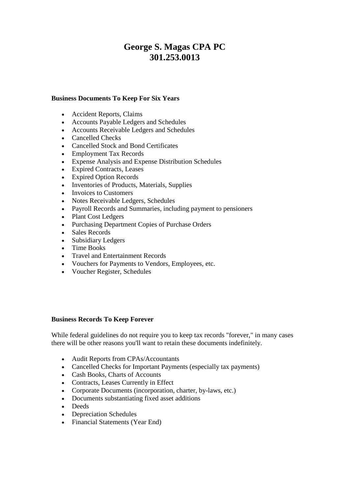### **Business Documents To Keep For Six Years**

- Accident Reports, Claims
- Accounts Payable Ledgers and Schedules
- Accounts Receivable Ledgers and Schedules
- Cancelled Checks
- Cancelled Stock and Bond Certificates
- Employment Tax Records
- Expense Analysis and Expense Distribution Schedules
- Expired Contracts, Leases
- Expired Option Records
- Inventories of Products, Materials, Supplies
- Invoices to Customers
- Notes Receivable Ledgers, Schedules
- Payroll Records and Summaries, including payment to pensioners
- Plant Cost Ledgers
- Purchasing Department Copies of Purchase Orders
- Sales Records
- Subsidiary Ledgers
- Time Books
- Travel and Entertainment Records
- Vouchers for Payments to Vendors, Employees, etc.
- Voucher Register, Schedules

#### **Business Records To Keep Forever**

While federal guidelines do not require you to keep tax records "forever," in many cases there will be other reasons you'll want to retain these documents indefinitely.

- Audit Reports from CPAs/Accountants
- Cancelled Checks for Important Payments (especially tax payments)
- Cash Books, Charts of Accounts
- Contracts, Leases Currently in Effect
- Corporate Documents (incorporation, charter, by-laws, etc.)
- Documents substantiating fixed asset additions
- Deeds
- Depreciation Schedules
- Financial Statements (Year End)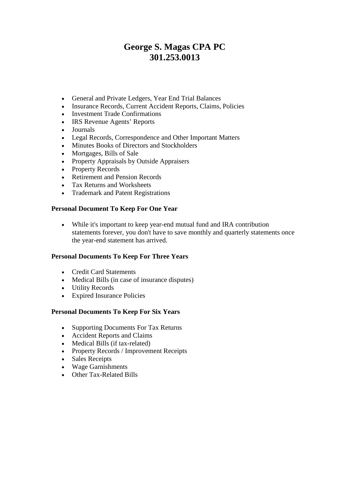- General and Private Ledgers, Year End Trial Balances
- Insurance Records, Current Accident Reports, Claims, Policies
- Investment Trade Confirmations
- IRS Revenue Agents' Reports
- Journals
- Legal Records, Correspondence and Other Important Matters
- Minutes Books of Directors and Stockholders
- Mortgages, Bills of Sale
- Property Appraisals by Outside Appraisers
- Property Records
- Retirement and Pension Records
- Tax Returns and Worksheets
- Trademark and Patent Registrations

### **Personal Document To Keep For One Year**

 While it's important to keep year-end mutual fund and IRA contribution statements forever, you don't have to save monthly and quarterly statements once the year-end statement has arrived.

#### **Personal Documents To Keep For Three Years**

- Credit Card Statements
- Medical Bills (in case of insurance disputes)
- Utility Records
- Expired Insurance Policies

### **Personal Documents To Keep For Six Years**

- Supporting Documents For Tax Returns
- Accident Reports and Claims
- Medical Bills (if tax-related)
- Property Records / Improvement Receipts
- Sales Receipts
- Wage Garnishments
- Other Tax-Related Bills